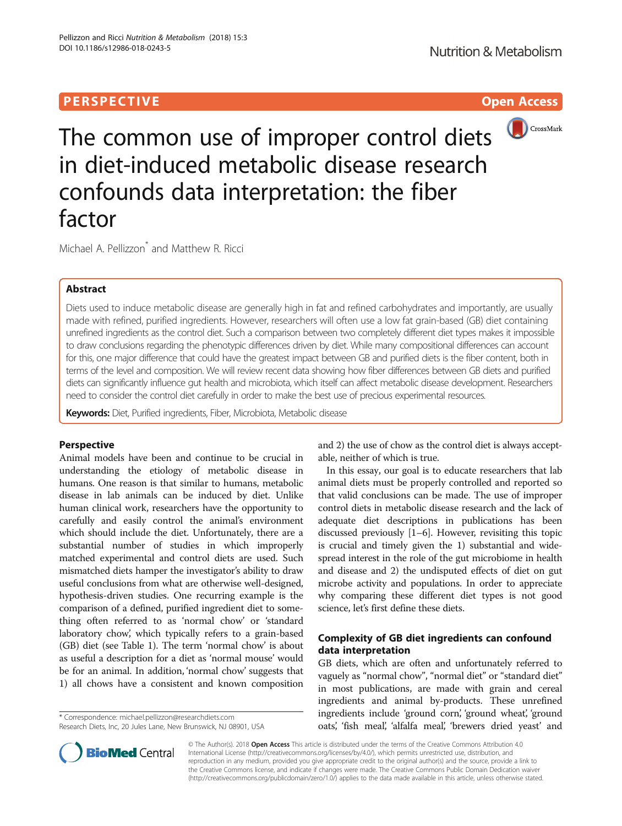# **PERSPECTIVE CONSIDERING ACCESS**



The common use of improper control diets in diet-induced metabolic disease research confounds data interpretation: the fiber factor

Michael A. Pellizzon\* and Matthew R. Ricci

## Abstract

Diets used to induce metabolic disease are generally high in fat and refined carbohydrates and importantly, are usually made with refined, purified ingredients. However, researchers will often use a low fat grain-based (GB) diet containing unrefined ingredients as the control diet. Such a comparison between two completely different diet types makes it impossible to draw conclusions regarding the phenotypic differences driven by diet. While many compositional differences can account for this, one major difference that could have the greatest impact between GB and purified diets is the fiber content, both in terms of the level and composition. We will review recent data showing how fiber differences between GB diets and purified diets can significantly influence gut health and microbiota, which itself can affect metabolic disease development. Researchers need to consider the control diet carefully in order to make the best use of precious experimental resources.

Keywords: Diet, Purified ingredients, Fiber, Microbiota, Metabolic disease

### Perspective

Animal models have been and continue to be crucial in understanding the etiology of metabolic disease in humans. One reason is that similar to humans, metabolic disease in lab animals can be induced by diet. Unlike human clinical work, researchers have the opportunity to carefully and easily control the animal's environment which should include the diet. Unfortunately, there are a substantial number of studies in which improperly matched experimental and control diets are used. Such mismatched diets hamper the investigator's ability to draw useful conclusions from what are otherwise well-designed, hypothesis-driven studies. One recurring example is the comparison of a defined, purified ingredient diet to something often referred to as 'normal chow' or 'standard laboratory chow', which typically refers to a grain-based (GB) diet (see Table [1](#page-1-0)). The term 'normal chow' is about as useful a description for a diet as 'normal mouse' would be for an animal. In addition, 'normal chow' suggests that 1) all chows have a consistent and known composition

\* Correspondence: [michael.pellizzon@researchdiets.com](mailto:michael.pellizzon@researchdiets.com) Research Diets, Inc, 20 Jules Lane, New Brunswick, NJ 08901, USA and 2) the use of chow as the control diet is always acceptable, neither of which is true.

In this essay, our goal is to educate researchers that lab animal diets must be properly controlled and reported so that valid conclusions can be made. The use of improper control diets in metabolic disease research and the lack of adequate diet descriptions in publications has been discussed previously [\[1](#page-4-0)–[6](#page-4-0)]. However, revisiting this topic is crucial and timely given the 1) substantial and widespread interest in the role of the gut microbiome in health and disease and 2) the undisputed effects of diet on gut microbe activity and populations. In order to appreciate why comparing these different diet types is not good science, let's first define these diets.

## Complexity of GB diet ingredients can confound data interpretation

GB diets, which are often and unfortunately referred to vaguely as "normal chow", "normal diet" or "standard diet" in most publications, are made with grain and cereal ingredients and animal by-products. These unrefined ingredients include 'ground corn', 'ground wheat', 'ground oats', 'fish meal', 'alfalfa meal', 'brewers dried yeast' and



© The Author(s). 2018 Open Access This article is distributed under the terms of the Creative Commons Attribution 4.0 International License [\(http://creativecommons.org/licenses/by/4.0/](http://creativecommons.org/licenses/by/4.0/)), which permits unrestricted use, distribution, and reproduction in any medium, provided you give appropriate credit to the original author(s) and the source, provide a link to the Creative Commons license, and indicate if changes were made. The Creative Commons Public Domain Dedication waiver [\(http://creativecommons.org/publicdomain/zero/1.0/](http://creativecommons.org/publicdomain/zero/1.0/)) applies to the data made available in this article, unless otherwise stated.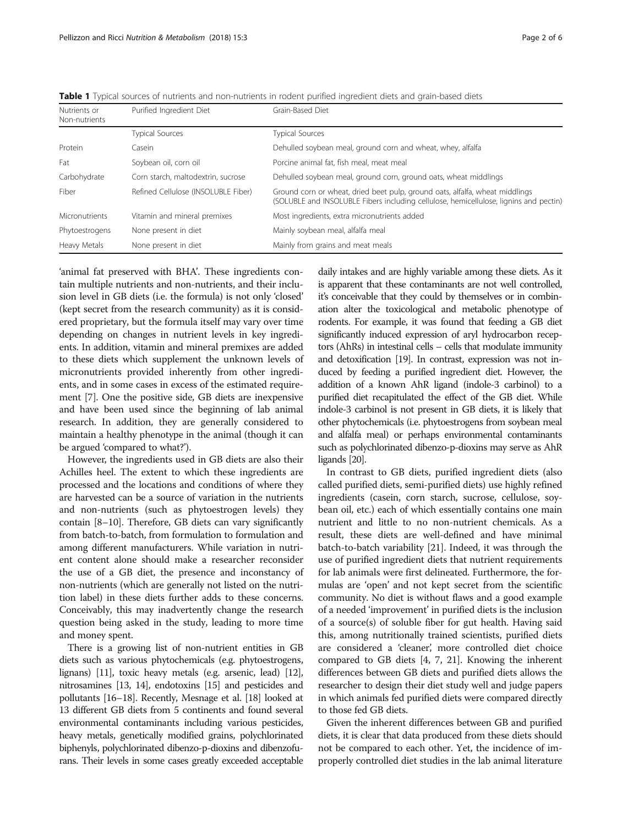| Nutrients or<br>Non-nutrients | Purified Ingredient Diet            | Grain-Based Diet                                                                                                                                                      |
|-------------------------------|-------------------------------------|-----------------------------------------------------------------------------------------------------------------------------------------------------------------------|
|                               | <b>Typical Sources</b>              | <b>Typical Sources</b>                                                                                                                                                |
| Protein                       | Casein                              | Dehulled soybean meal, ground corn and wheat, whey, alfalfa                                                                                                           |
| Fat                           | Soybean oil, corn oil               | Porcine animal fat, fish meal, meat meal                                                                                                                              |
| Carbohydrate                  | Corn starch, maltodextrin, sucrose  | Dehulled soybean meal, ground corn, ground oats, wheat middlings                                                                                                      |
| Fiber                         | Refined Cellulose (INSOLUBLE Fiber) | Ground corn or wheat, dried beet pulp, ground oats, alfalfa, wheat middlings<br>(SOLUBLE and INSOLUBLE Fibers including cellulose, hemicellulose, lignins and pectin) |
| <b>Micronutrients</b>         | Vitamin and mineral premixes        | Most ingredients, extra micronutrients added                                                                                                                          |
| Phytoestrogens                | None present in diet                | Mainly soybean meal, alfalfa meal                                                                                                                                     |
| Heavy Metals                  | None present in diet                | Mainly from grains and meat meals                                                                                                                                     |

<span id="page-1-0"></span>Table 1 Typical sources of nutrients and non-nutrients in rodent purified ingredient diets and grain-based diets

'animal fat preserved with BHA'. These ingredients contain multiple nutrients and non-nutrients, and their inclusion level in GB diets (i.e. the formula) is not only 'closed' (kept secret from the research community) as it is considered proprietary, but the formula itself may vary over time depending on changes in nutrient levels in key ingredients. In addition, vitamin and mineral premixes are added to these diets which supplement the unknown levels of micronutrients provided inherently from other ingredients, and in some cases in excess of the estimated requirement [\[7\]](#page-4-0). One the positive side, GB diets are inexpensive and have been used since the beginning of lab animal research. In addition, they are generally considered to maintain a healthy phenotype in the animal (though it can be argued 'compared to what?').

However, the ingredients used in GB diets are also their Achilles heel. The extent to which these ingredients are processed and the locations and conditions of where they are harvested can be a source of variation in the nutrients and non-nutrients (such as phytoestrogen levels) they contain [\[8](#page-4-0)–[10](#page-4-0)]. Therefore, GB diets can vary significantly from batch-to-batch, from formulation to formulation and among different manufacturers. While variation in nutrient content alone should make a researcher reconsider the use of a GB diet, the presence and inconstancy of non-nutrients (which are generally not listed on the nutrition label) in these diets further adds to these concerns. Conceivably, this may inadvertently change the research question being asked in the study, leading to more time and money spent.

There is a growing list of non-nutrient entities in GB diets such as various phytochemicals (e.g. phytoestrogens, lignans) [\[11](#page-5-0)], toxic heavy metals (e.g. arsenic, lead) [\[12](#page-5-0)], nitrosamines [\[13, 14](#page-5-0)], endotoxins [[15](#page-5-0)] and pesticides and pollutants [\[16](#page-5-0)–[18\]](#page-5-0). Recently, Mesnage et al. [[18](#page-5-0)] looked at 13 different GB diets from 5 continents and found several environmental contaminants including various pesticides, heavy metals, genetically modified grains, polychlorinated biphenyls, polychlorinated dibenzo-p-dioxins and dibenzofurans. Their levels in some cases greatly exceeded acceptable daily intakes and are highly variable among these diets. As it is apparent that these contaminants are not well controlled, it's conceivable that they could by themselves or in combination alter the toxicological and metabolic phenotype of rodents. For example, it was found that feeding a GB diet significantly induced expression of aryl hydrocarbon receptors (AhRs) in intestinal cells – cells that modulate immunity and detoxification [\[19\]](#page-5-0). In contrast, expression was not induced by feeding a purified ingredient diet. However, the addition of a known AhR ligand (indole-3 carbinol) to a purified diet recapitulated the effect of the GB diet. While indole-3 carbinol is not present in GB diets, it is likely that other phytochemicals (i.e. phytoestrogens from soybean meal and alfalfa meal) or perhaps environmental contaminants such as polychlorinated dibenzo-p-dioxins may serve as AhR ligands [\[20](#page-5-0)].

In contrast to GB diets, purified ingredient diets (also called purified diets, semi-purified diets) use highly refined ingredients (casein, corn starch, sucrose, cellulose, soybean oil, etc.) each of which essentially contains one main nutrient and little to no non-nutrient chemicals. As a result, these diets are well-defined and have minimal batch-to-batch variability [\[21\]](#page-5-0). Indeed, it was through the use of purified ingredient diets that nutrient requirements for lab animals were first delineated. Furthermore, the formulas are 'open' and not kept secret from the scientific community. No diet is without flaws and a good example of a needed 'improvement' in purified diets is the inclusion of a source(s) of soluble fiber for gut health. Having said this, among nutritionally trained scientists, purified diets are considered a 'cleaner', more controlled diet choice compared to GB diets [\[4](#page-4-0), [7,](#page-4-0) [21\]](#page-5-0). Knowing the inherent differences between GB diets and purified diets allows the researcher to design their diet study well and judge papers in which animals fed purified diets were compared directly to those fed GB diets.

Given the inherent differences between GB and purified diets, it is clear that data produced from these diets should not be compared to each other. Yet, the incidence of improperly controlled diet studies in the lab animal literature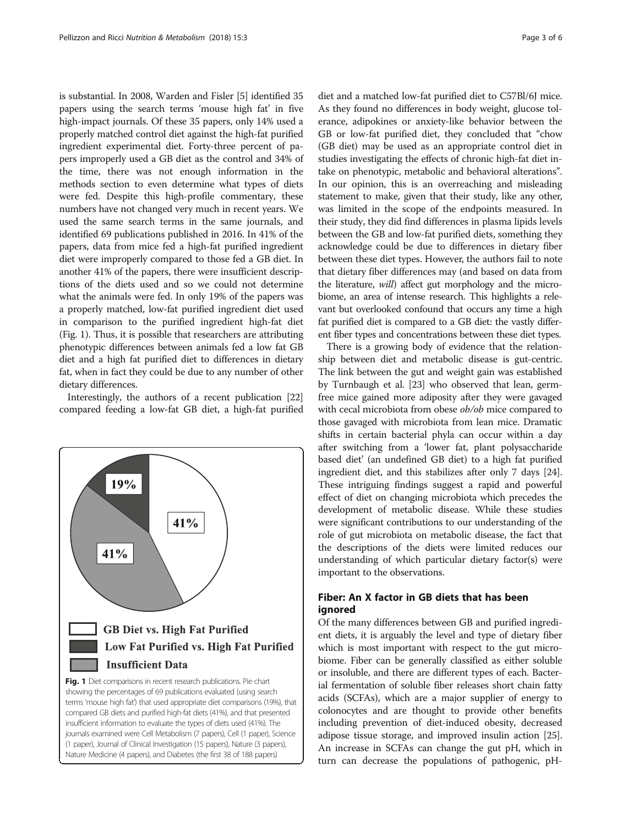is substantial. In 2008, Warden and Fisler [[5](#page-4-0)] identified 35 papers using the search terms 'mouse high fat' in five high-impact journals. Of these 35 papers, only 14% used a properly matched control diet against the high-fat purified ingredient experimental diet. Forty-three percent of papers improperly used a GB diet as the control and 34% of the time, there was not enough information in the methods section to even determine what types of diets were fed. Despite this high-profile commentary, these numbers have not changed very much in recent years. We used the same search terms in the same journals, and identified 69 publications published in 2016. In 41% of the papers, data from mice fed a high-fat purified ingredient diet were improperly compared to those fed a GB diet. In another 41% of the papers, there were insufficient descriptions of the diets used and so we could not determine what the animals were fed. In only 19% of the papers was a properly matched, low-fat purified ingredient diet used in comparison to the purified ingredient high-fat diet (Fig. 1). Thus, it is possible that researchers are attributing phenotypic differences between animals fed a low fat GB diet and a high fat purified diet to differences in dietary fat, when in fact they could be due to any number of other dietary differences.

Interestingly, the authors of a recent publication [[22](#page-5-0)] compared feeding a low-fat GB diet, a high-fat purified



diet and a matched low-fat purified diet to C57Bl/6J mice. As they found no differences in body weight, glucose tolerance, adipokines or anxiety-like behavior between the GB or low-fat purified diet, they concluded that "chow (GB diet) may be used as an appropriate control diet in studies investigating the effects of chronic high-fat diet intake on phenotypic, metabolic and behavioral alterations". In our opinion, this is an overreaching and misleading statement to make, given that their study, like any other, was limited in the scope of the endpoints measured. In their study, they did find differences in plasma lipids levels between the GB and low-fat purified diets, something they acknowledge could be due to differences in dietary fiber between these diet types. However, the authors fail to note that dietary fiber differences may (and based on data from the literature, will) affect gut morphology and the microbiome, an area of intense research. This highlights a relevant but overlooked confound that occurs any time a high fat purified diet is compared to a GB diet: the vastly different fiber types and concentrations between these diet types.

There is a growing body of evidence that the relationship between diet and metabolic disease is gut-centric. The link between the gut and weight gain was established by Turnbaugh et al. [[23](#page-5-0)] who observed that lean, germfree mice gained more adiposity after they were gavaged with cecal microbiota from obese ob/ob mice compared to those gavaged with microbiota from lean mice. Dramatic shifts in certain bacterial phyla can occur within a day after switching from a 'lower fat, plant polysaccharide based diet' (an undefined GB diet) to a high fat purified ingredient diet, and this stabilizes after only 7 days [[24](#page-5-0)]. These intriguing findings suggest a rapid and powerful effect of diet on changing microbiota which precedes the development of metabolic disease. While these studies were significant contributions to our understanding of the role of gut microbiota on metabolic disease, the fact that the descriptions of the diets were limited reduces our understanding of which particular dietary factor(s) were important to the observations.

### Fiber: An X factor in GB diets that has been ignored

Of the many differences between GB and purified ingredient diets, it is arguably the level and type of dietary fiber which is most important with respect to the gut microbiome. Fiber can be generally classified as either soluble or insoluble, and there are different types of each. Bacterial fermentation of soluble fiber releases short chain fatty acids (SCFAs), which are a major supplier of energy to colonocytes and are thought to provide other benefits including prevention of diet-induced obesity, decreased adipose tissue storage, and improved insulin action [[25](#page-5-0)]. An increase in SCFAs can change the gut pH, which in turn can decrease the populations of pathogenic, pH-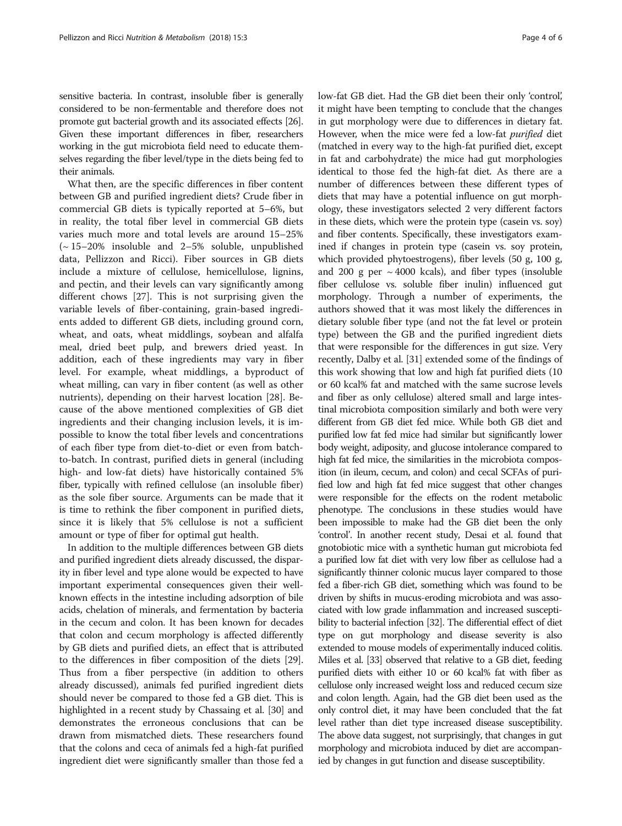sensitive bacteria. In contrast, insoluble fiber is generally considered to be non-fermentable and therefore does not promote gut bacterial growth and its associated effects [\[26](#page-5-0)]. Given these important differences in fiber, researchers working in the gut microbiota field need to educate themselves regarding the fiber level/type in the diets being fed to their animals.

What then, are the specific differences in fiber content between GB and purified ingredient diets? Crude fiber in commercial GB diets is typically reported at 5–6%, but in reality, the total fiber level in commercial GB diets varies much more and total levels are around 15–25% (~ 15–20% insoluble and 2–5% soluble, unpublished data, Pellizzon and Ricci). Fiber sources in GB diets include a mixture of cellulose, hemicellulose, lignins, and pectin, and their levels can vary significantly among different chows [\[27](#page-5-0)]. This is not surprising given the variable levels of fiber-containing, grain-based ingredients added to different GB diets, including ground corn, wheat, and oats, wheat middlings, soybean and alfalfa meal, dried beet pulp, and brewers dried yeast. In addition, each of these ingredients may vary in fiber level. For example, wheat middlings, a byproduct of wheat milling, can vary in fiber content (as well as other nutrients), depending on their harvest location [\[28\]](#page-5-0). Because of the above mentioned complexities of GB diet ingredients and their changing inclusion levels, it is impossible to know the total fiber levels and concentrations of each fiber type from diet-to-diet or even from batchto-batch. In contrast, purified diets in general (including high- and low-fat diets) have historically contained 5% fiber, typically with refined cellulose (an insoluble fiber) as the sole fiber source. Arguments can be made that it is time to rethink the fiber component in purified diets, since it is likely that 5% cellulose is not a sufficient amount or type of fiber for optimal gut health.

In addition to the multiple differences between GB diets and purified ingredient diets already discussed, the disparity in fiber level and type alone would be expected to have important experimental consequences given their wellknown effects in the intestine including adsorption of bile acids, chelation of minerals, and fermentation by bacteria in the cecum and colon. It has been known for decades that colon and cecum morphology is affected differently by GB diets and purified diets, an effect that is attributed to the differences in fiber composition of the diets [[29](#page-5-0)]. Thus from a fiber perspective (in addition to others already discussed), animals fed purified ingredient diets should never be compared to those fed a GB diet. This is highlighted in a recent study by Chassaing et al. [[30](#page-5-0)] and demonstrates the erroneous conclusions that can be drawn from mismatched diets. These researchers found that the colons and ceca of animals fed a high-fat purified ingredient diet were significantly smaller than those fed a low-fat GB diet. Had the GB diet been their only 'control', it might have been tempting to conclude that the changes in gut morphology were due to differences in dietary fat. However, when the mice were fed a low-fat *purified* diet (matched in every way to the high-fat purified diet, except in fat and carbohydrate) the mice had gut morphologies identical to those fed the high-fat diet. As there are a number of differences between these different types of diets that may have a potential influence on gut morphology, these investigators selected 2 very different factors in these diets, which were the protein type (casein vs. soy) and fiber contents. Specifically, these investigators examined if changes in protein type (casein vs. soy protein, which provided phytoestrogens), fiber levels (50 g, 100 g, and 200 g per  $\sim$  4000 kcals), and fiber types (insoluble fiber cellulose vs. soluble fiber inulin) influenced gut morphology. Through a number of experiments, the authors showed that it was most likely the differences in dietary soluble fiber type (and not the fat level or protein type) between the GB and the purified ingredient diets that were responsible for the differences in gut size. Very recently, Dalby et al. [\[31\]](#page-5-0) extended some of the findings of this work showing that low and high fat purified diets (10 or 60 kcal% fat and matched with the same sucrose levels and fiber as only cellulose) altered small and large intestinal microbiota composition similarly and both were very different from GB diet fed mice. While both GB diet and purified low fat fed mice had similar but significantly lower body weight, adiposity, and glucose intolerance compared to high fat fed mice, the similarities in the microbiota composition (in ileum, cecum, and colon) and cecal SCFAs of purified low and high fat fed mice suggest that other changes were responsible for the effects on the rodent metabolic phenotype. The conclusions in these studies would have been impossible to make had the GB diet been the only 'control'. In another recent study, Desai et al. found that gnotobiotic mice with a synthetic human gut microbiota fed a purified low fat diet with very low fiber as cellulose had a significantly thinner colonic mucus layer compared to those fed a fiber-rich GB diet, something which was found to be driven by shifts in mucus-eroding microbiota and was associated with low grade inflammation and increased susceptibility to bacterial infection [\[32\]](#page-5-0). The differential effect of diet type on gut morphology and disease severity is also extended to mouse models of experimentally induced colitis. Miles et al. [\[33](#page-5-0)] observed that relative to a GB diet, feeding purified diets with either 10 or 60 kcal% fat with fiber as cellulose only increased weight loss and reduced cecum size and colon length. Again, had the GB diet been used as the only control diet, it may have been concluded that the fat level rather than diet type increased disease susceptibility. The above data suggest, not surprisingly, that changes in gut morphology and microbiota induced by diet are accompanied by changes in gut function and disease susceptibility.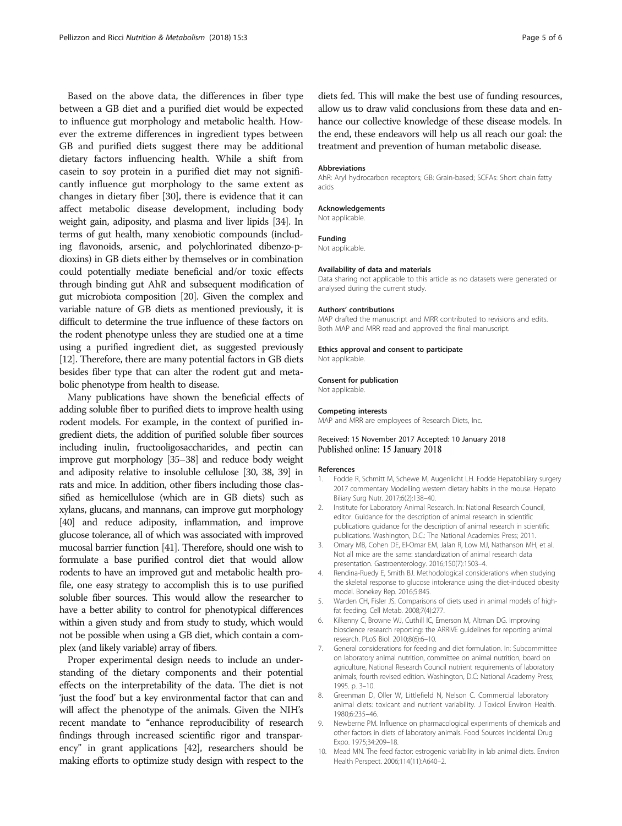<span id="page-4-0"></span>Based on the above data, the differences in fiber type between a GB diet and a purified diet would be expected to influence gut morphology and metabolic health. However the extreme differences in ingredient types between GB and purified diets suggest there may be additional dietary factors influencing health. While a shift from casein to soy protein in a purified diet may not significantly influence gut morphology to the same extent as changes in dietary fiber [[30](#page-5-0)], there is evidence that it can affect metabolic disease development, including body weight gain, adiposity, and plasma and liver lipids [\[34](#page-5-0)]. In terms of gut health, many xenobiotic compounds (including flavonoids, arsenic, and polychlorinated dibenzo-pdioxins) in GB diets either by themselves or in combination could potentially mediate beneficial and/or toxic effects through binding gut AhR and subsequent modification of gut microbiota composition [[20](#page-5-0)]. Given the complex and variable nature of GB diets as mentioned previously, it is difficult to determine the true influence of these factors on the rodent phenotype unless they are studied one at a time using a purified ingredient diet, as suggested previously [[12](#page-5-0)]. Therefore, there are many potential factors in GB diets besides fiber type that can alter the rodent gut and metabolic phenotype from health to disease.

Many publications have shown the beneficial effects of adding soluble fiber to purified diets to improve health using rodent models. For example, in the context of purified ingredient diets, the addition of purified soluble fiber sources including inulin, fructooligosaccharides, and pectin can improve gut morphology [[35](#page-5-0)–[38](#page-5-0)] and reduce body weight and adiposity relative to insoluble cellulose [[30, 38](#page-5-0), [39\]](#page-5-0) in rats and mice. In addition, other fibers including those classified as hemicellulose (which are in GB diets) such as xylans, glucans, and mannans, can improve gut morphology [[40\]](#page-5-0) and reduce adiposity, inflammation, and improve glucose tolerance, all of which was associated with improved mucosal barrier function [[41\]](#page-5-0). Therefore, should one wish to formulate a base purified control diet that would allow rodents to have an improved gut and metabolic health profile, one easy strategy to accomplish this is to use purified soluble fiber sources. This would allow the researcher to have a better ability to control for phenotypical differences within a given study and from study to study, which would not be possible when using a GB diet, which contain a complex (and likely variable) array of fibers.

Proper experimental design needs to include an understanding of the dietary components and their potential effects on the interpretability of the data. The diet is not 'just the food' but a key environmental factor that can and will affect the phenotype of the animals. Given the NIH's recent mandate to "enhance reproducibility of research findings through increased scientific rigor and transparency" in grant applications [\[42\]](#page-5-0), researchers should be making efforts to optimize study design with respect to the diets fed. This will make the best use of funding resources, allow us to draw valid conclusions from these data and enhance our collective knowledge of these disease models. In the end, these endeavors will help us all reach our goal: the treatment and prevention of human metabolic disease.

#### Abbreviations

AhR: Aryl hydrocarbon receptors; GB: Grain-based; SCFAs: Short chain fatty acids

### Acknowledgements

Not applicable.

#### Funding

Not applicable.

#### Availability of data and materials

Data sharing not applicable to this article as no datasets were generated or analysed during the current study.

#### Authors' contributions

MAP drafted the manuscript and MRR contributed to revisions and edits. Both MAP and MRR read and approved the final manuscript.

### Ethics approval and consent to participate

Not applicable.

### Consent for publication Not applicable.

#### Competing interests

MAP and MRR are employees of Research Diets, Inc.

### Received: 15 November 2017 Accepted: 10 January 2018 Published online: 15 January 2018

#### References

- 1. Fodde R, Schmitt M, Schewe M, Augenlicht LH. Fodde Hepatobiliary surgery 2017 commentary Modelling western dietary habits in the mouse. Hepato Biliary Surg Nutr. 2017;6(2):138–40.
- 2. Institute for Laboratory Animal Research. In: National Research Council, editor. Guidance for the description of animal research in scientific publications guidance for the description of animal research in scientific publications. Washington, D.C.: The National Academies Press; 2011.
- 3. Omary MB, Cohen DE, El-Omar EM, Jalan R, Low MJ, Nathanson MH, et al. Not all mice are the same: standardization of animal research data presentation. Gastroenterology. 2016;150(7):1503–4.
- 4. Rendina-Ruedy E, Smith BJ. Methodological considerations when studying the skeletal response to glucose intolerance using the diet-induced obesity model. Bonekey Rep. 2016;5:845.
- 5. Warden CH, Fisler JS. Comparisons of diets used in animal models of highfat feeding. Cell Metab. 2008;7(4):277.
- 6. Kilkenny C, Browne WJ, Cuthill IC, Emerson M, Altman DG. Improving bioscience research reporting: the ARRIVE guidelines for reporting animal research. PLoS Biol. 2010;8(6):6–10.
- 7. General considerations for feeding and diet formulation. In: Subcommittee on laboratory animal nutrition, committee on animal nutrition, board on agriculture, National Research Council nutrient requirements of laboratory animals, fourth revised edition. Washington, D.C: National Academy Press; 1995. p. 3–10.
- 8. Greenman D, Oller W, Littlefield N, Nelson C. Commercial laboratory animal diets: toxicant and nutrient variability. J Toxicol Environ Health. 1980;6:235–46.
- Newberne PM. Influence on pharmacological experiments of chemicals and other factors in diets of laboratory animals. Food Sources Incidental Drug Expo. 1975;34:209–18.
- 10. Mead MN. The feed factor: estrogenic variability in lab animal diets. Environ Health Perspect. 2006;114(11):A640–2.